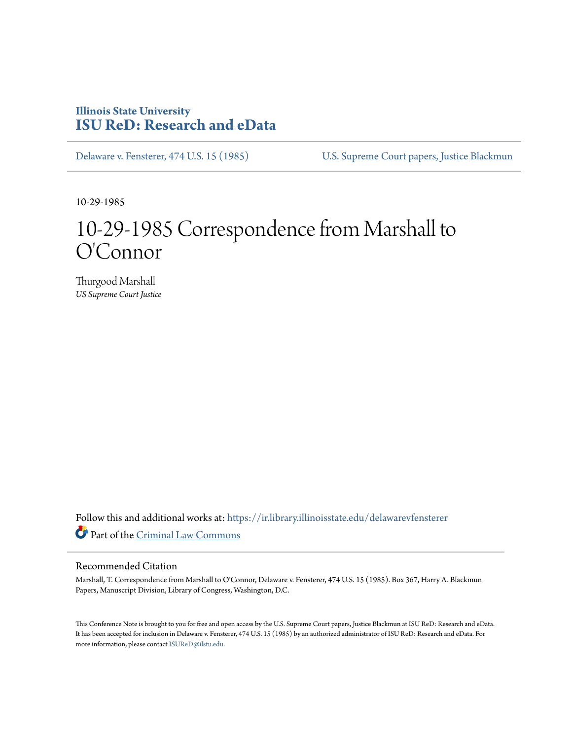## **Illinois State University [ISU ReD: Research and eData](https://ir.library.illinoisstate.edu?utm_source=ir.library.illinoisstate.edu%2Fdelawarevfensterer%2F5&utm_medium=PDF&utm_campaign=PDFCoverPages)**

[Delaware v. Fensterer, 474 U.S. 15 \(1985\)](https://ir.library.illinoisstate.edu/delawarevfensterer?utm_source=ir.library.illinoisstate.edu%2Fdelawarevfensterer%2F5&utm_medium=PDF&utm_campaign=PDFCoverPages) [U.S. Supreme Court papers, Justice Blackmun](https://ir.library.illinoisstate.edu/ss?utm_source=ir.library.illinoisstate.edu%2Fdelawarevfensterer%2F5&utm_medium=PDF&utm_campaign=PDFCoverPages)

10-29-1985

## 10-29-1985 Correspondence from Marshall to O'Connor

Thurgood Marshall *US Supreme Court Justice*

Follow this and additional works at: [https://ir.library.illinoisstate.edu/delawarevfensterer](https://ir.library.illinoisstate.edu/delawarevfensterer?utm_source=ir.library.illinoisstate.edu%2Fdelawarevfensterer%2F5&utm_medium=PDF&utm_campaign=PDFCoverPages) Part of the [Criminal Law Commons](http://network.bepress.com/hgg/discipline/912?utm_source=ir.library.illinoisstate.edu%2Fdelawarevfensterer%2F5&utm_medium=PDF&utm_campaign=PDFCoverPages)

## Recommended Citation

Marshall, T. Correspondence from Marshall to O'Connor, Delaware v. Fensterer, 474 U.S. 15 (1985). Box 367, Harry A. Blackmun Papers, Manuscript Division, Library of Congress, Washington, D.C.

This Conference Note is brought to you for free and open access by the U.S. Supreme Court papers, Justice Blackmun at ISU ReD: Research and eData. It has been accepted for inclusion in Delaware v. Fensterer, 474 U.S. 15 (1985) by an authorized administrator of ISU ReD: Research and eData. For more information, please contact [ISUReD@ilstu.edu](mailto:ISUReD@ilstu.edu).